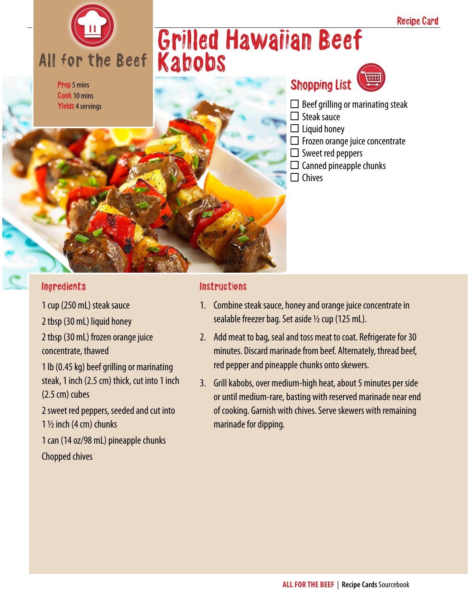

Prep 5 mins Cook 10 mins Yields 4 servings

## Grilled Hawaiian Beef Kabobs



- $\Box$  Beef grilling or marinating steak
- $\Box$  Steak sauce
- $\Box$  Liquid honey
- $\Box$  Frozen orange juice concentrate
- $\Box$  Sweet red peppers
- $\Box$  Canned pineapple chunks
- $\Box$  Chives

#### Ingredients

1 cup (250 mL) steak sauce 2 tbsp (30 mL) liquid honey 2 tbsp (30 mL) frozen orange juice concentrate, thawed 1 lb (0.45 kg) beef grilling or marinating steak, 1 inch (2.5 cm) thick, cut into 1 inch (2.5 cm) cubes 2 sweet red peppers, seeded and cut into

1  $\frac{1}{2}$  inch (4 cm) chunks

1 can (14 oz/98 mL) pineapple chunks Chopped chives

#### Instructions

- 1. Combine steak sauce, honey and orange juice concentrate in sealable freezer bag. Set aside  $\frac{1}{2}$  cup (125 mL).
- 2. Add meat to bag, seal and toss meat to coat. Refrigerate for 30 minutes. Discard marinade from beef. Alternately, thread beef, red pepper and pineapple chunks onto skewers.
- 3. Grill kabobs, over medium-high heat, about 5 minutes per side or until medium-rare, basting with reserved marinade near end of cooking. Garnish with chives. Serve skewers with remaining marinade for dipping.